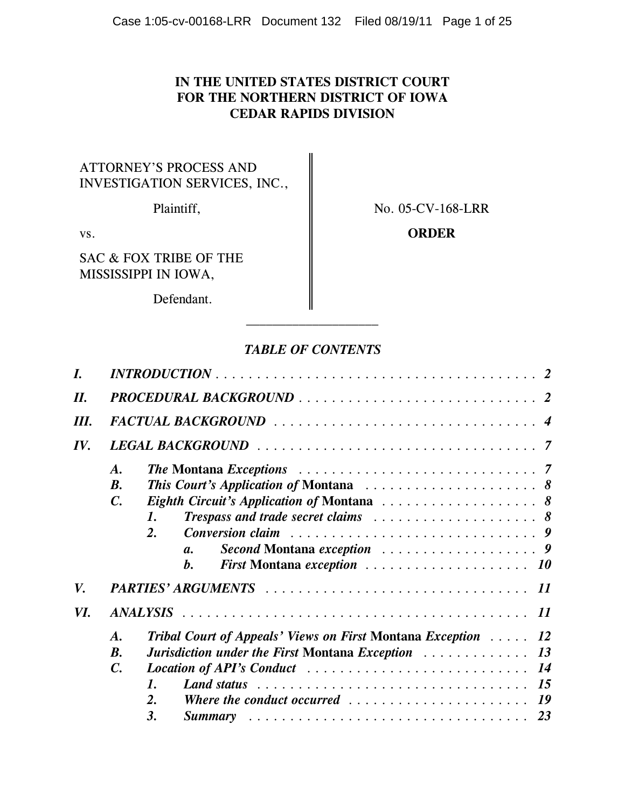# **IN THE UNITED STATES DISTRICT COURT FOR THE NORTHERN DISTRICT OF IOWA CEDAR RAPIDS DIVISION**

# ATTORNEY'S PROCESS AND INVESTIGATION SERVICES, INC.,

Plaintiff, No. 05-CV-168-LRR

SAC & FOX TRIBE OF THE MISSISSIPPI IN IOWA,

Defendant.

# vs. **CONDER**

# *TABLE OF CONTENTS*

 $\mathcal{L}_\text{max}$ 

| I.  | $INTRODUCTION \ldots \ldots \ldots \ldots \ldots \ldots \ldots \ldots \ldots \ldots \ldots \ldots 2$                |  |  |  |  |  |  |  |  |  |           |  |  |  |
|-----|---------------------------------------------------------------------------------------------------------------------|--|--|--|--|--|--|--|--|--|-----------|--|--|--|
| II. |                                                                                                                     |  |  |  |  |  |  |  |  |  |           |  |  |  |
| Ш.  |                                                                                                                     |  |  |  |  |  |  |  |  |  |           |  |  |  |
| IV. |                                                                                                                     |  |  |  |  |  |  |  |  |  |           |  |  |  |
|     | $\boldsymbol{A}$ .                                                                                                  |  |  |  |  |  |  |  |  |  |           |  |  |  |
|     | <b>B.</b>                                                                                                           |  |  |  |  |  |  |  |  |  |           |  |  |  |
|     | $\mathcal{C}$ .                                                                                                     |  |  |  |  |  |  |  |  |  |           |  |  |  |
|     | <b>Trespass and trade secret claims</b> $\ldots \ldots \ldots \ldots \ldots \ldots \ldots \ldots$<br>1.             |  |  |  |  |  |  |  |  |  |           |  |  |  |
|     | $\overline{2}$ .                                                                                                    |  |  |  |  |  |  |  |  |  |           |  |  |  |
|     | $\mathfrak{a}.$                                                                                                     |  |  |  |  |  |  |  |  |  |           |  |  |  |
|     | $\bm{b}$ .                                                                                                          |  |  |  |  |  |  |  |  |  |           |  |  |  |
| V.  |                                                                                                                     |  |  |  |  |  |  |  |  |  |           |  |  |  |
| VI. |                                                                                                                     |  |  |  |  |  |  |  |  |  | <i>11</i> |  |  |  |
|     | <b>Tribal Court of Appeals' Views on First Montana Exception Action</b><br>$\boldsymbol{A}$ .                       |  |  |  |  |  |  |  |  |  | 12        |  |  |  |
|     | $\boldsymbol{B}$ .                                                                                                  |  |  |  |  |  |  |  |  |  |           |  |  |  |
|     | $\mathcal{C}$ .                                                                                                     |  |  |  |  |  |  |  |  |  |           |  |  |  |
|     | Land status $\ldots \ldots \ldots \ldots \ldots \ldots \ldots \ldots \ldots \ldots \ldots \ldots$<br>$\mathbf{1}$ . |  |  |  |  |  |  |  |  |  |           |  |  |  |
|     | 2.<br>Where the conduct occurred $\ldots \ldots \ldots \ldots \ldots \ldots \ldots$                                 |  |  |  |  |  |  |  |  |  |           |  |  |  |
|     | 3.                                                                                                                  |  |  |  |  |  |  |  |  |  |           |  |  |  |
|     |                                                                                                                     |  |  |  |  |  |  |  |  |  |           |  |  |  |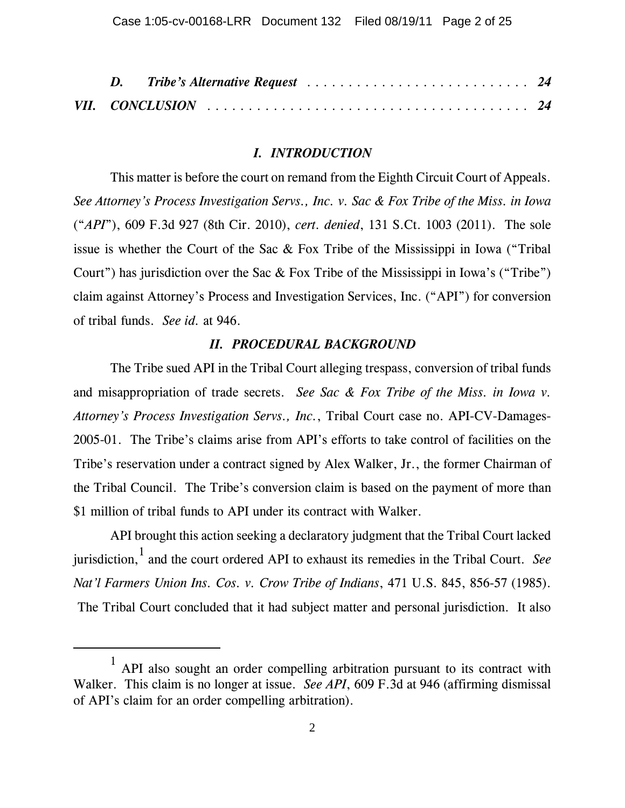#### *I. INTRODUCTION*

This matter is before the court on remand from the Eighth Circuit Court of Appeals. *See Attorney's Process Investigation Servs., Inc. v. Sac & Fox Tribe of the Miss. in Iowa* ("*API*"), 609 F.3d 927 (8th Cir. 2010), *cert. denied*, 131 S.Ct. 1003 (2011). The sole issue is whether the Court of the Sac & Fox Tribe of the Mississippi in Iowa ("Tribal Court") has jurisdiction over the Sac & Fox Tribe of the Mississippi in Iowa's ("Tribe") claim against Attorney's Process and Investigation Services, Inc. ("API") for conversion of tribal funds. *See id.* at 946.

## *II. PROCEDURAL BACKGROUND*

The Tribe sued API in the Tribal Court alleging trespass, conversion of tribal funds and misappropriation of trade secrets. *See Sac & Fox Tribe of the Miss. in Iowa v. Attorney's Process Investigation Servs., Inc.*, Tribal Court case no. API-CV-Damages-2005-01. The Tribe's claims arise from API's efforts to take control of facilities on the Tribe's reservation under a contract signed by Alex Walker, Jr., the former Chairman of the Tribal Council. The Tribe's conversion claim is based on the payment of more than \$1 million of tribal funds to API under its contract with Walker.

API brought this action seeking a declaratory judgment that the Tribal Court lacked jurisdiction,<sup>1</sup> and the court ordered API to exhaust its remedies in the Tribal Court. *See Nat'l Farmers Union Ins. Cos. v. Crow Tribe of Indians*, 471 U.S. 845, 856-57 (1985). The Tribal Court concluded that it had subject matter and personal jurisdiction. It also

<sup>1</sup> API also sought an order compelling arbitration pursuant to its contract with Walker. This claim is no longer at issue. *See API*, 609 F.3d at 946 (affirming dismissal of API's claim for an order compelling arbitration).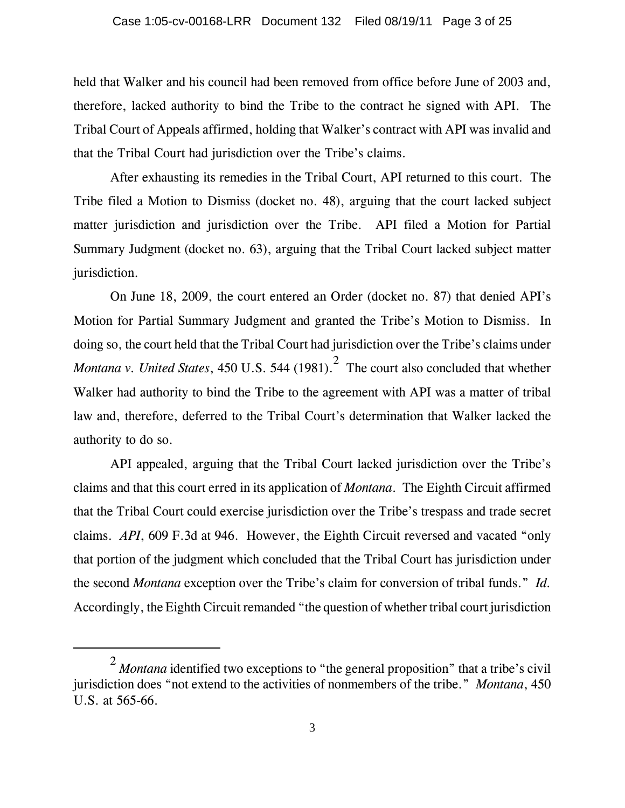held that Walker and his council had been removed from office before June of 2003 and, therefore, lacked authority to bind the Tribe to the contract he signed with API. The Tribal Court of Appeals affirmed, holding that Walker's contract with API was invalid and that the Tribal Court had jurisdiction over the Tribe's claims.

After exhausting its remedies in the Tribal Court, API returned to this court. The Tribe filed a Motion to Dismiss (docket no. 48), arguing that the court lacked subject matter jurisdiction and jurisdiction over the Tribe. API filed a Motion for Partial Summary Judgment (docket no. 63), arguing that the Tribal Court lacked subject matter jurisdiction.

On June 18, 2009, the court entered an Order (docket no. 87) that denied API's Motion for Partial Summary Judgment and granted the Tribe's Motion to Dismiss. In doing so, the court held that the Tribal Court had jurisdiction over the Tribe's claims under *Montana v. United States,* 450 U.S. 544 (1981).<sup>2</sup> The court also concluded that whether Walker had authority to bind the Tribe to the agreement with API was a matter of tribal law and, therefore, deferred to the Tribal Court's determination that Walker lacked the authority to do so.

API appealed, arguing that the Tribal Court lacked jurisdiction over the Tribe's claims and that this court erred in its application of *Montana*. The Eighth Circuit affirmed that the Tribal Court could exercise jurisdiction over the Tribe's trespass and trade secret claims. *API*, 609 F.3d at 946. However, the Eighth Circuit reversed and vacated "only that portion of the judgment which concluded that the Tribal Court has jurisdiction under the second *Montana* exception over the Tribe's claim for conversion of tribal funds." *Id.* Accordingly, the Eighth Circuit remanded "the question of whether tribal court jurisdiction

<sup>&</sup>lt;sup>2</sup> Montana identified two exceptions to "the general proposition" that a tribe's civil jurisdiction does "not extend to the activities of nonmembers of the tribe." *Montana*, 450 U.S. at 565-66.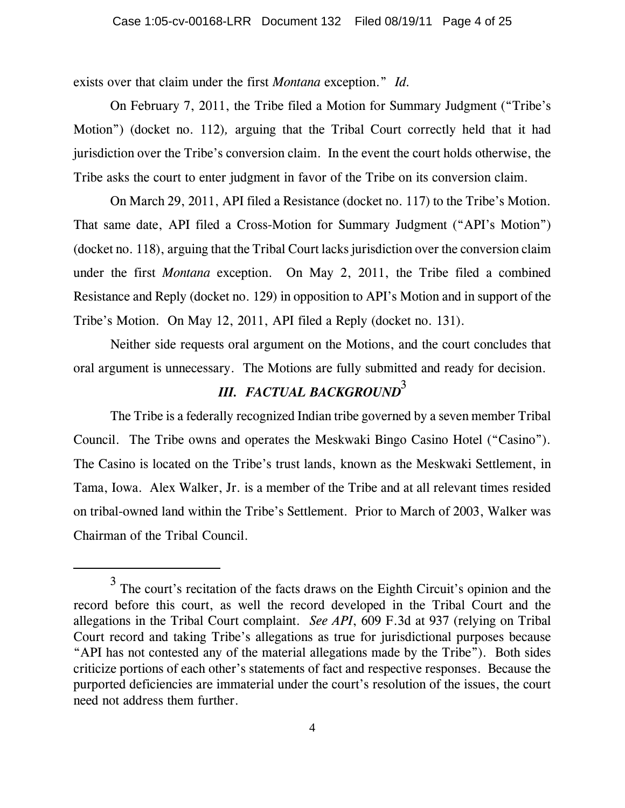exists over that claim under the first *Montana* exception." *Id.* 

On February 7, 2011, the Tribe filed a Motion for Summary Judgment ("Tribe's Motion") (docket no. 112)*,* arguing that the Tribal Court correctly held that it had jurisdiction over the Tribe's conversion claim. In the event the court holds otherwise, the Tribe asks the court to enter judgment in favor of the Tribe on its conversion claim.

On March 29, 2011, API filed a Resistance (docket no. 117) to the Tribe's Motion. That same date, API filed a Cross-Motion for Summary Judgment ("API's Motion") (docket no. 118), arguing that the Tribal Court lacks jurisdiction over the conversion claim under the first *Montana* exception. On May 2, 2011, the Tribe filed a combined Resistance and Reply (docket no. 129) in opposition to API's Motion and in support of the Tribe's Motion. On May 12, 2011, API filed a Reply (docket no. 131).

Neither side requests oral argument on the Motions, and the court concludes that oral argument is unnecessary. The Motions are fully submitted and ready for decision.

# *III. FACTUAL BACKGROUND*<sup>3</sup>

The Tribe is a federally recognized Indian tribe governed by a seven member Tribal Council. The Tribe owns and operates the Meskwaki Bingo Casino Hotel ("Casino"). The Casino is located on the Tribe's trust lands, known as the Meskwaki Settlement, in Tama, Iowa. Alex Walker, Jr. is a member of the Tribe and at all relevant times resided on tribal-owned land within the Tribe's Settlement. Prior to March of 2003, Walker was Chairman of the Tribal Council.

<sup>&</sup>lt;sup>3</sup> The court's recitation of the facts draws on the Eighth Circuit's opinion and the record before this court, as well the record developed in the Tribal Court and the allegations in the Tribal Court complaint. *See API*, 609 F.3d at 937 (relying on Tribal Court record and taking Tribe's allegations as true for jurisdictional purposes because "API has not contested any of the material allegations made by the Tribe"). Both sides criticize portions of each other's statements of fact and respective responses. Because the purported deficiencies are immaterial under the court's resolution of the issues, the court need not address them further.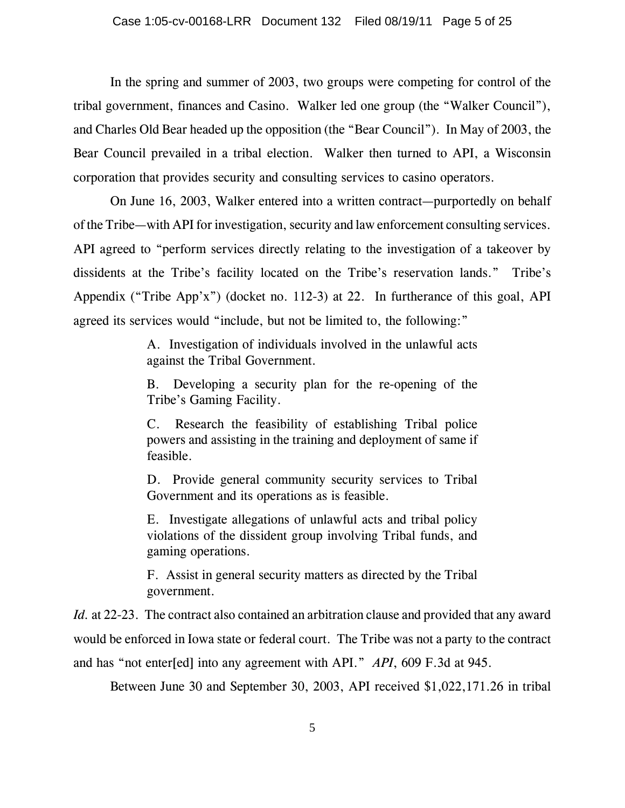In the spring and summer of 2003, two groups were competing for control of the tribal government, finances and Casino. Walker led one group (the "Walker Council"), and Charles Old Bear headed up the opposition (the "Bear Council"). In May of 2003, the Bear Council prevailed in a tribal election. Walker then turned to API, a Wisconsin corporation that provides security and consulting services to casino operators.

On June 16, 2003, Walker entered into a written contract—purportedly on behalf of the Tribe—with API for investigation, security and law enforcement consulting services. API agreed to "perform services directly relating to the investigation of a takeover by dissidents at the Tribe's facility located on the Tribe's reservation lands." Tribe's Appendix ("Tribe App'x") (docket no. 112-3) at 22. In furtherance of this goal, API agreed its services would "include, but not be limited to, the following:"

> A. Investigation of individuals involved in the unlawful acts against the Tribal Government.

> B. Developing a security plan for the re-opening of the Tribe's Gaming Facility.

> C. Research the feasibility of establishing Tribal police powers and assisting in the training and deployment of same if feasible.

> D. Provide general community security services to Tribal Government and its operations as is feasible.

> E. Investigate allegations of unlawful acts and tribal policy violations of the dissident group involving Tribal funds, and gaming operations.

> F. Assist in general security matters as directed by the Tribal government.

*Id.* at 22-23. The contract also contained an arbitration clause and provided that any award would be enforced in Iowa state or federal court. The Tribe was not a party to the contract and has "not enter[ed] into any agreement with API." *API*, 609 F.3d at 945.

Between June 30 and September 30, 2003, API received \$1,022,171.26 in tribal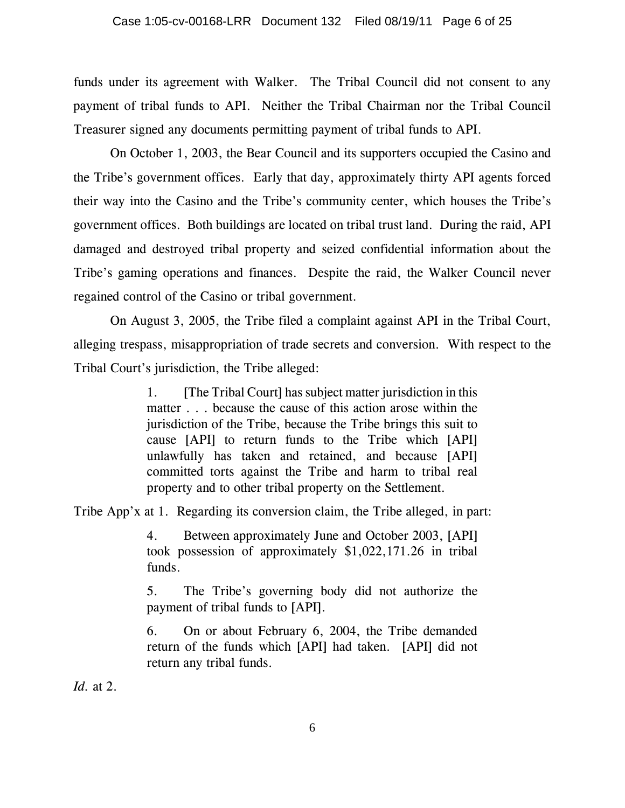funds under its agreement with Walker. The Tribal Council did not consent to any payment of tribal funds to API. Neither the Tribal Chairman nor the Tribal Council Treasurer signed any documents permitting payment of tribal funds to API.

On October 1, 2003, the Bear Council and its supporters occupied the Casino and the Tribe's government offices. Early that day, approximately thirty API agents forced their way into the Casino and the Tribe's community center, which houses the Tribe's government offices. Both buildings are located on tribal trust land. During the raid, API damaged and destroyed tribal property and seized confidential information about the Tribe's gaming operations and finances. Despite the raid, the Walker Council never regained control of the Casino or tribal government.

On August 3, 2005, the Tribe filed a complaint against API in the Tribal Court, alleging trespass, misappropriation of trade secrets and conversion. With respect to the Tribal Court's jurisdiction, the Tribe alleged:

> 1. [The Tribal Court] has subject matter jurisdiction in this matter . . . because the cause of this action arose within the jurisdiction of the Tribe, because the Tribe brings this suit to cause [API] to return funds to the Tribe which [API] unlawfully has taken and retained, and because [API] committed torts against the Tribe and harm to tribal real property and to other tribal property on the Settlement.

Tribe App'x at 1. Regarding its conversion claim, the Tribe alleged, in part:

4. Between approximately June and October 2003, [API] took possession of approximately \$1,022,171.26 in tribal funds.

5. The Tribe's governing body did not authorize the payment of tribal funds to [API].

6. On or about February 6, 2004, the Tribe demanded return of the funds which [API] had taken. [API] did not return any tribal funds.

*Id.* at 2.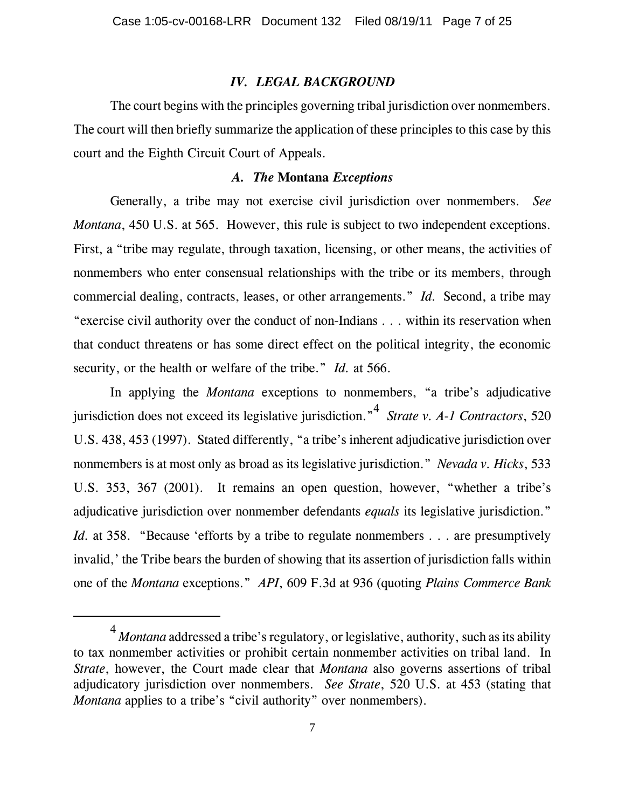### *IV. LEGAL BACKGROUND*

The court begins with the principles governing tribal jurisdiction over nonmembers. The court will then briefly summarize the application of these principles to this case by this court and the Eighth Circuit Court of Appeals.

### *A. The* **Montana** *Exceptions*

Generally, a tribe may not exercise civil jurisdiction over nonmembers. *See Montana*, 450 U.S. at 565. However, this rule is subject to two independent exceptions. First, a "tribe may regulate, through taxation, licensing, or other means, the activities of nonmembers who enter consensual relationships with the tribe or its members, through commercial dealing, contracts, leases, or other arrangements." *Id.* Second, a tribe may "exercise civil authority over the conduct of non-Indians . . . within its reservation when that conduct threatens or has some direct effect on the political integrity, the economic security, or the health or welfare of the tribe." *Id.* at 566.

In applying the *Montana* exceptions to nonmembers, "a tribe's adjudicative jurisdiction does not exceed its legislative jurisdiction."<sup>4</sup> *Strate v. A-1 Contractors*, 520 U.S. 438, 453 (1997). Stated differently, "a tribe's inherent adjudicative jurisdiction over nonmembers is at most only as broad as its legislative jurisdiction." *Nevada v. Hicks*, 533 U.S. 353, 367 (2001). It remains an open question, however, "whether a tribe's adjudicative jurisdiction over nonmember defendants *equals* its legislative jurisdiction." *Id.* at 358. "Because 'efforts by a tribe to regulate nonmembers . . . are presumptively invalid,' the Tribe bears the burden of showing that its assertion of jurisdiction falls within one of the *Montana* exceptions." *API*, 609 F.3d at 936 (quoting *Plains Commerce Bank*

<sup>&</sup>lt;sup>4</sup> *Montana* addressed a tribe's regulatory, or legislative, authority, such as its ability to tax nonmember activities or prohibit certain nonmember activities on tribal land. In *Strate*, however, the Court made clear that *Montana* also governs assertions of tribal adjudicatory jurisdiction over nonmembers. *See Strate*, 520 U.S. at 453 (stating that *Montana* applies to a tribe's "civil authority" over nonmembers).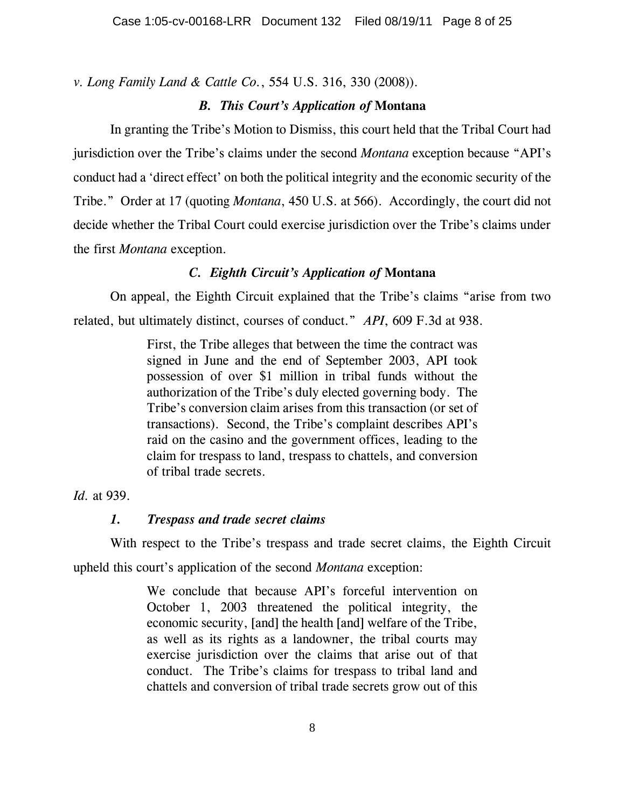*v. Long Family Land & Cattle Co.*, 554 U.S. 316, 330 (2008)).

# *B. This Court's Application of* **Montana**

In granting the Tribe's Motion to Dismiss, this court held that the Tribal Court had jurisdiction over the Tribe's claims under the second *Montana* exception because "API's conduct had a 'direct effect' on both the political integrity and the economic security of the Tribe." Order at 17 (quoting *Montana*, 450 U.S. at 566). Accordingly, the court did not decide whether the Tribal Court could exercise jurisdiction over the Tribe's claims under the first *Montana* exception.

# *C. Eighth Circuit's Application of* **Montana**

On appeal, the Eighth Circuit explained that the Tribe's claims "arise from two related, but ultimately distinct, courses of conduct." *API*, 609 F.3d at 938.

> First, the Tribe alleges that between the time the contract was signed in June and the end of September 2003, API took possession of over \$1 million in tribal funds without the authorization of the Tribe's duly elected governing body. The Tribe's conversion claim arises from this transaction (or set of transactions). Second, the Tribe's complaint describes API's raid on the casino and the government offices, leading to the claim for trespass to land, trespass to chattels, and conversion of tribal trade secrets.

# *Id.* at 939.

# *1. Trespass and trade secret claims*

With respect to the Tribe's trespass and trade secret claims, the Eighth Circuit upheld this court's application of the second *Montana* exception:

> We conclude that because API's forceful intervention on October 1, 2003 threatened the political integrity, the economic security, [and] the health [and] welfare of the Tribe, as well as its rights as a landowner, the tribal courts may exercise jurisdiction over the claims that arise out of that conduct. The Tribe's claims for trespass to tribal land and chattels and conversion of tribal trade secrets grow out of this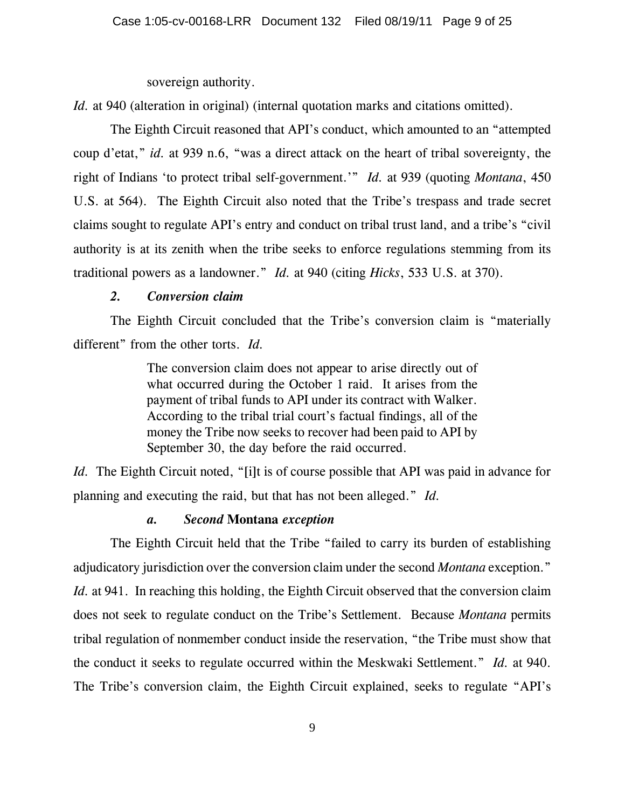sovereign authority.

*Id.* at 940 (alteration in original) (internal quotation marks and citations omitted).

The Eighth Circuit reasoned that API's conduct, which amounted to an "attempted coup d'etat," *id.* at 939 n.6, "was a direct attack on the heart of tribal sovereignty, the right of Indians 'to protect tribal self-government.'" *Id.* at 939 (quoting *Montana*, 450 U.S. at 564). The Eighth Circuit also noted that the Tribe's trespass and trade secret claims sought to regulate API's entry and conduct on tribal trust land, and a tribe's "civil authority is at its zenith when the tribe seeks to enforce regulations stemming from its traditional powers as a landowner." *Id.* at 940 (citing *Hicks*, 533 U.S. at 370).

# *2. Conversion claim*

The Eighth Circuit concluded that the Tribe's conversion claim is "materially different" from the other torts. *Id.*

> The conversion claim does not appear to arise directly out of what occurred during the October 1 raid. It arises from the payment of tribal funds to API under its contract with Walker. According to the tribal trial court's factual findings, all of the money the Tribe now seeks to recover had been paid to API by September 30, the day before the raid occurred.

*Id.* The Eighth Circuit noted, "[i]t is of course possible that API was paid in advance for planning and executing the raid, but that has not been alleged." *Id.*

## *a. Second* **Montana** *exception*

The Eighth Circuit held that the Tribe "failed to carry its burden of establishing adjudicatory jurisdiction over the conversion claim under the second *Montana* exception." *Id.* at 941. In reaching this holding, the Eighth Circuit observed that the conversion claim does not seek to regulate conduct on the Tribe's Settlement.Because *Montana* permits tribal regulation of nonmember conduct inside the reservation, "the Tribe must show that the conduct it seeks to regulate occurred within the Meskwaki Settlement." *Id.* at 940. The Tribe's conversion claim, the Eighth Circuit explained, seeks to regulate "API's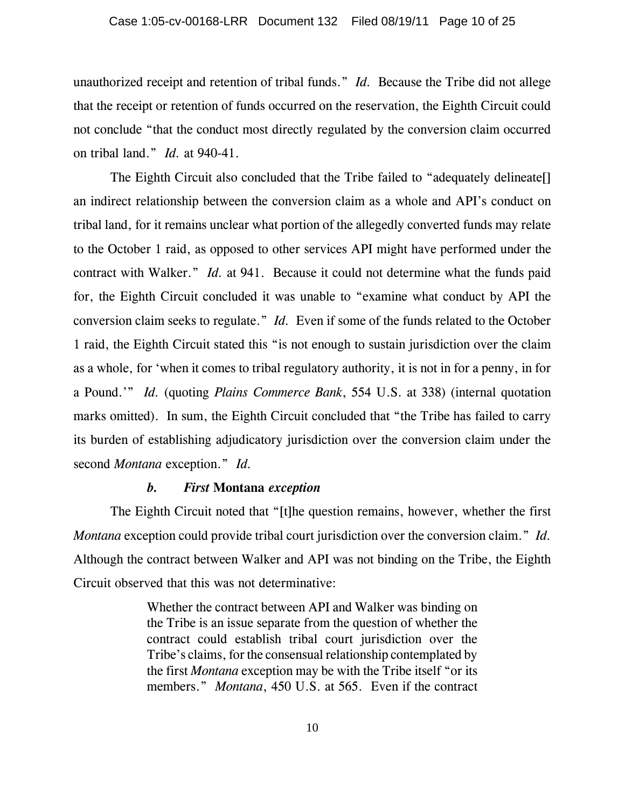unauthorized receipt and retention of tribal funds." *Id.* Because the Tribe did not allege that the receipt or retention of funds occurred on the reservation, the Eighth Circuit could not conclude "that the conduct most directly regulated by the conversion claim occurred on tribal land." *Id.* at 940-41.

The Eighth Circuit also concluded that the Tribe failed to "adequately delineate[] an indirect relationship between the conversion claim as a whole and API's conduct on tribal land, for it remains unclear what portion of the allegedly converted funds may relate to the October 1 raid, as opposed to other services API might have performed under the contract with Walker." *Id.* at 941. Because it could not determine what the funds paid for, the Eighth Circuit concluded it was unable to "examine what conduct by API the conversion claim seeks to regulate." *Id.* Even if some of the funds related to the October 1 raid, the Eighth Circuit stated this "is not enough to sustain jurisdiction over the claim as a whole, for 'when it comes to tribal regulatory authority, it is not in for a penny, in for a Pound.'" *Id.* (quoting *Plains Commerce Bank*, 554 U.S. at 338) (internal quotation marks omitted). In sum, the Eighth Circuit concluded that "the Tribe has failed to carry its burden of establishing adjudicatory jurisdiction over the conversion claim under the second *Montana* exception." *Id.*

#### *b. First* **Montana** *exception*

The Eighth Circuit noted that "[t]he question remains, however, whether the first *Montana* exception could provide tribal court jurisdiction over the conversion claim." *Id.* Although the contract between Walker and API was not binding on the Tribe, the Eighth Circuit observed that this was not determinative:

> Whether the contract between API and Walker was binding on the Tribe is an issue separate from the question of whether the contract could establish tribal court jurisdiction over the Tribe's claims, for the consensual relationship contemplated by the first *Montana* exception may be with the Tribe itself "or its members." *Montana*, 450 U.S. at 565. Even if the contract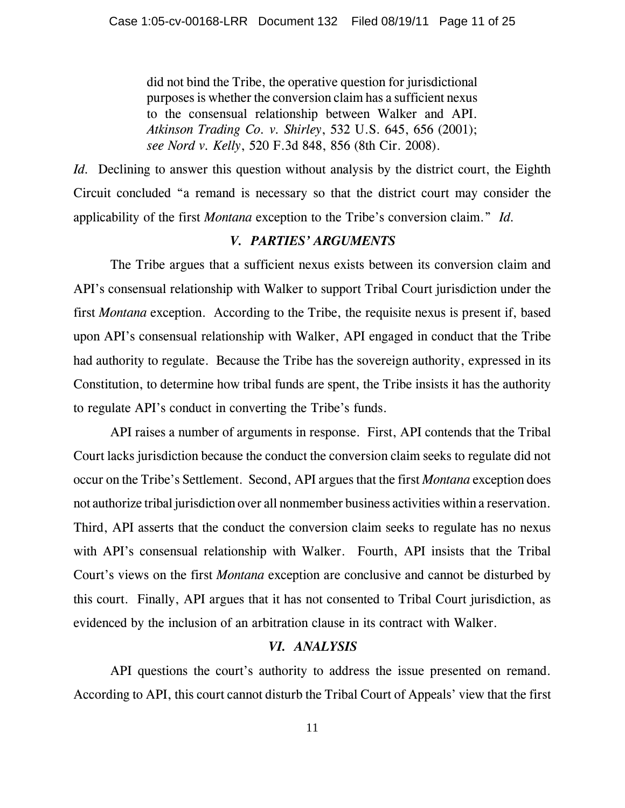did not bind the Tribe, the operative question for jurisdictional purposes is whether the conversion claim has a sufficient nexus to the consensual relationship between Walker and API. *Atkinson Trading Co. v. Shirley*, 532 U.S. 645, 656 (2001); *see Nord v. Kelly*, 520 F.3d 848, 856 (8th Cir. 2008).

*Id.* Declining to answer this question without analysis by the district court, the Eighth Circuit concluded "a remand is necessary so that the district court may consider the applicability of the first *Montana* exception to the Tribe's conversion claim." *Id.*

#### *V. PARTIES' ARGUMENTS*

The Tribe argues that a sufficient nexus exists between its conversion claim and API's consensual relationship with Walker to support Tribal Court jurisdiction under the first *Montana* exception. According to the Tribe, the requisite nexus is present if, based upon API's consensual relationship with Walker, API engaged in conduct that the Tribe had authority to regulate. Because the Tribe has the sovereign authority, expressed in its Constitution, to determine how tribal funds are spent, the Tribe insists it has the authority to regulate API's conduct in converting the Tribe's funds.

API raises a number of arguments in response. First, API contends that the Tribal Court lacks jurisdiction because the conduct the conversion claim seeks to regulate did not occur on the Tribe's Settlement. Second, API argues that the first *Montana* exception does not authorize tribal jurisdiction over all nonmember business activities within a reservation. Third, API asserts that the conduct the conversion claim seeks to regulate has no nexus with API's consensual relationship with Walker. Fourth, API insists that the Tribal Court's views on the first *Montana* exception are conclusive and cannot be disturbed by this court. Finally, API argues that it has not consented to Tribal Court jurisdiction, as evidenced by the inclusion of an arbitration clause in its contract with Walker.

### *VI. ANALYSIS*

API questions the court's authority to address the issue presented on remand. According to API, this court cannot disturb the Tribal Court of Appeals' view that the first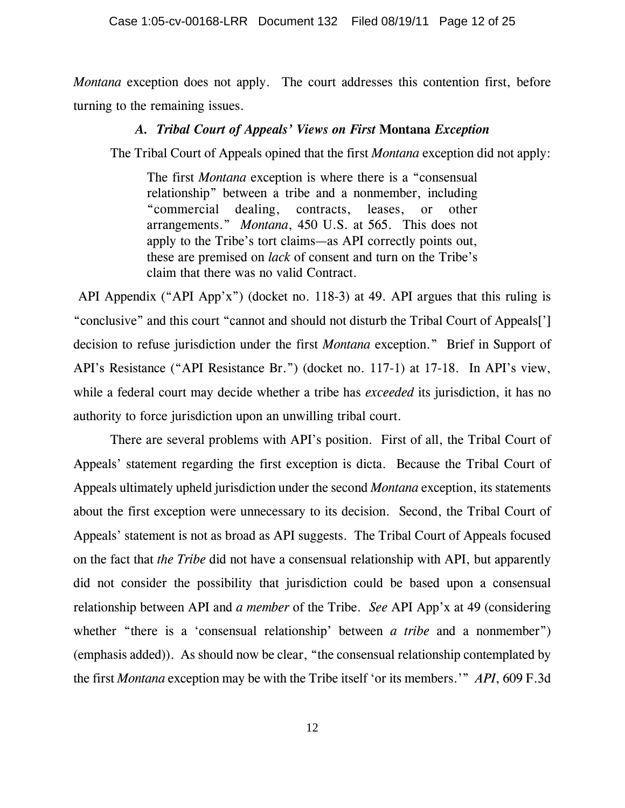*Montana* exception does not apply. The court addresses this contention first, before turning to the remaining issues.

#### *A. Tribal Court of Appeals' Views on First* **Montana** *Exception*

The Tribal Court of Appeals opined that the first *Montana* exception did not apply:

The first *Montana* exception is where there is a "consensual relationship" between a tribe and a nonmember, including "commercial dealing, contracts, leases, or other arrangements." *Montana*, 450 U.S. at 565. This does not apply to the Tribe's tort claims—as API correctly points out, these are premised on *lack* of consent and turn on the Tribe's claim that there was no valid Contract.

 API Appendix ("API App'x") (docket no. 118-3) at 49. API argues that this ruling is "conclusive" and this court "cannot and should not disturb the Tribal Court of Appeals['] decision to refuse jurisdiction under the first *Montana* exception." Brief in Support of API's Resistance ("API Resistance Br.") (docket no. 117-1) at 17-18. In API's view, while a federal court may decide whether a tribe has *exceeded* its jurisdiction, it has no authority to force jurisdiction upon an unwilling tribal court.

There are several problems with API's position. First of all, the Tribal Court of Appeals' statement regarding the first exception is dicta. Because the Tribal Court of Appeals ultimately upheld jurisdiction under the second *Montana* exception, its statements about the first exception were unnecessary to its decision. Second, the Tribal Court of Appeals' statement is not as broad as API suggests. The Tribal Court of Appeals focused on the fact that *the Tribe* did not have a consensual relationship with API, but apparently did not consider the possibility that jurisdiction could be based upon a consensual relationship between API and *a member* of the Tribe. *See* API App'x at 49 (considering whether "there is a 'consensual relationship' between *a tribe* and a nonmember") (emphasis added)). As should now be clear, "the consensual relationship contemplated by the first *Montana* exception may be with the Tribe itself 'or its members.'" *API*, 609 F.3d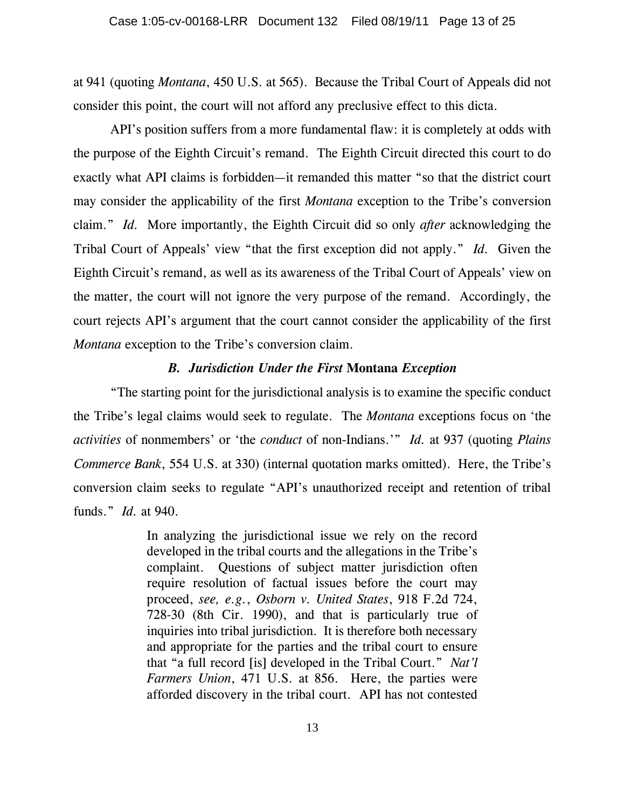at 941 (quoting *Montana*, 450 U.S. at 565). Because the Tribal Court of Appeals did not consider this point, the court will not afford any preclusive effect to this dicta.

API's position suffers from a more fundamental flaw: it is completely at odds with the purpose of the Eighth Circuit's remand. The Eighth Circuit directed this court to do exactly what API claims is forbidden—it remanded this matter "so that the district court may consider the applicability of the first *Montana* exception to the Tribe's conversion claim." *Id.* More importantly, the Eighth Circuit did so only *after* acknowledging the Tribal Court of Appeals' view "that the first exception did not apply." *Id.* Given the Eighth Circuit's remand, as well as its awareness of the Tribal Court of Appeals' view on the matter, the court will not ignore the very purpose of the remand. Accordingly, the court rejects API's argument that the court cannot consider the applicability of the first *Montana* exception to the Tribe's conversion claim.

#### *B. Jurisdiction Under the First* **Montana** *Exception*

"The starting point for the jurisdictional analysis is to examine the specific conduct the Tribe's legal claims would seek to regulate. The *Montana* exceptions focus on 'the *activities* of nonmembers' or 'the *conduct* of non-Indians.'" *Id.* at 937 (quoting *Plains Commerce Bank*, 554 U.S. at 330) (internal quotation marks omitted). Here, the Tribe's conversion claim seeks to regulate "API's unauthorized receipt and retention of tribal funds." *Id.* at 940.

> In analyzing the jurisdictional issue we rely on the record developed in the tribal courts and the allegations in the Tribe's complaint. Questions of subject matter jurisdiction often require resolution of factual issues before the court may proceed, *see, e.g.*, *Osborn v. United States*, 918 F.2d 724, 728-30 (8th Cir. 1990), and that is particularly true of inquiries into tribal jurisdiction. It is therefore both necessary and appropriate for the parties and the tribal court to ensure that "a full record [is] developed in the Tribal Court." *Nat'l Farmers Union*, 471 U.S. at 856. Here, the parties were afforded discovery in the tribal court. API has not contested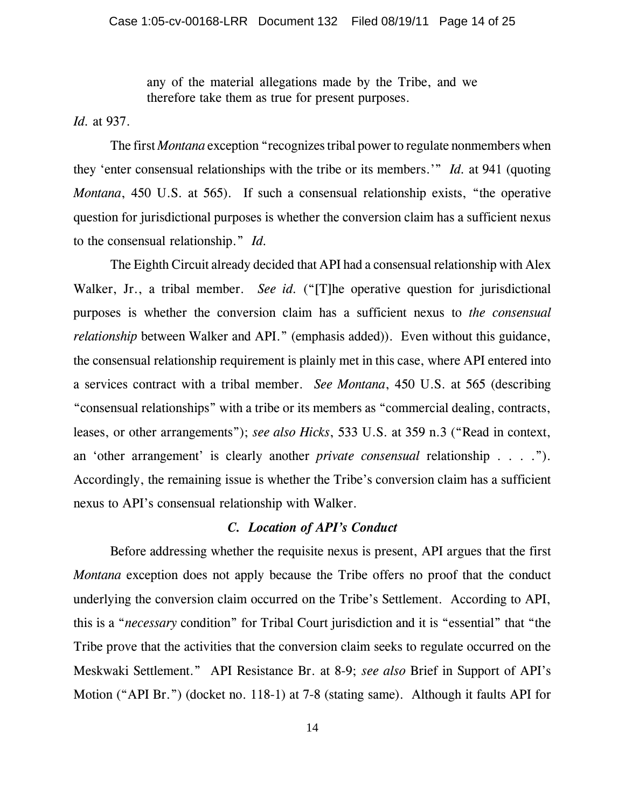any of the material allegations made by the Tribe, and we therefore take them as true for present purposes.

*Id.* at 937.

The first *Montana* exception "recognizes tribal power to regulate nonmembers when they 'enter consensual relationships with the tribe or its members.'" *Id.* at 941 (quoting *Montana*, 450 U.S. at 565). If such a consensual relationship exists, "the operative question for jurisdictional purposes is whether the conversion claim has a sufficient nexus to the consensual relationship." *Id.*

The Eighth Circuit already decided that API had a consensual relationship with Alex Walker, Jr., a tribal member. *See id.* ("[T]he operative question for jurisdictional purposes is whether the conversion claim has a sufficient nexus to *the consensual relationship* between Walker and API." (emphasis added)). Even without this guidance, the consensual relationship requirement is plainly met in this case, where API entered into a services contract with a tribal member. *See Montana*, 450 U.S. at 565 (describing "consensual relationships" with a tribe or its members as "commercial dealing, contracts, leases, or other arrangements"); *see also Hicks*, 533 U.S. at 359 n.3 ("Read in context, an 'other arrangement' is clearly another *private consensual* relationship . . . ."). Accordingly, the remaining issue is whether the Tribe's conversion claim has a sufficient nexus to API's consensual relationship with Walker.

## *C. Location of API's Conduct*

Before addressing whether the requisite nexus is present, API argues that the first *Montana* exception does not apply because the Tribe offers no proof that the conduct underlying the conversion claim occurred on the Tribe's Settlement. According to API, this is a "*necessary* condition" for Tribal Court jurisdiction and it is "essential" that "the Tribe prove that the activities that the conversion claim seeks to regulate occurred on the Meskwaki Settlement." API Resistance Br. at 8-9; *see also* Brief in Support of API's Motion ("API Br.") (docket no. 118-1) at 7-8 (stating same). Although it faults API for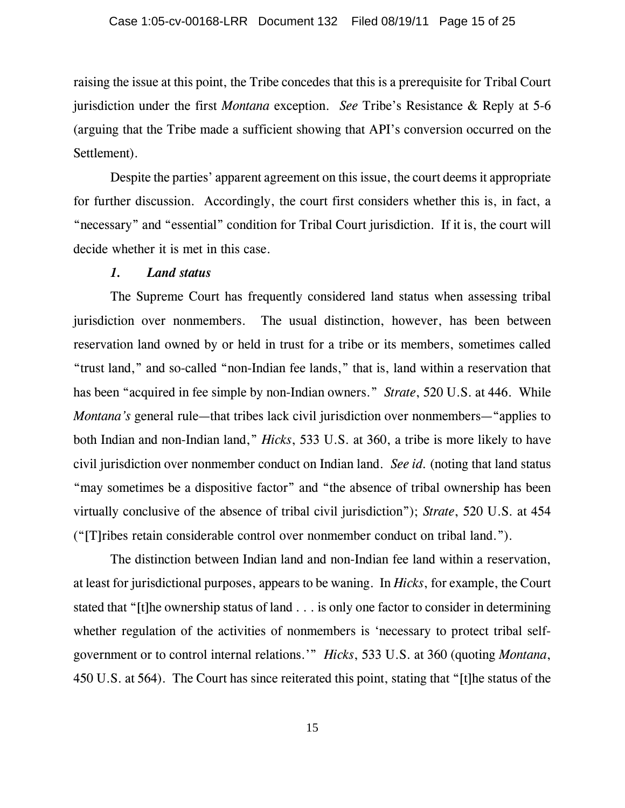raising the issue at this point, the Tribe concedes that this is a prerequisite for Tribal Court jurisdiction under the first *Montana* exception. *See* Tribe's Resistance & Reply at 5-6 (arguing that the Tribe made a sufficient showing that API's conversion occurred on the Settlement).

Despite the parties' apparent agreement on this issue, the court deems it appropriate for further discussion. Accordingly, the court first considers whether this is, in fact, a "necessary" and "essential" condition for Tribal Court jurisdiction. If it is, the court will decide whether it is met in this case.

#### *1. Land status*

The Supreme Court has frequently considered land status when assessing tribal jurisdiction over nonmembers. The usual distinction, however, has been between reservation land owned by or held in trust for a tribe or its members, sometimes called "trust land," and so-called "non-Indian fee lands," that is, land within a reservation that has been "acquired in fee simple by non-Indian owners." *Strate*, 520 U.S. at 446. While *Montana's* general rule—that tribes lack civil jurisdiction over nonmembers—"applies to both Indian and non-Indian land," *Hicks*, 533 U.S. at 360, a tribe is more likely to have civil jurisdiction over nonmember conduct on Indian land. *See id.* (noting that land status "may sometimes be a dispositive factor" and "the absence of tribal ownership has been virtually conclusive of the absence of tribal civil jurisdiction"); *Strate*, 520 U.S. at 454 ("[T]ribes retain considerable control over nonmember conduct on tribal land.").

The distinction between Indian land and non-Indian fee land within a reservation, at least for jurisdictional purposes, appears to be waning. In *Hicks*, for example, the Court stated that "[t]he ownership status of land . . . is only one factor to consider in determining whether regulation of the activities of nonmembers is 'necessary to protect tribal selfgovernment or to control internal relations.'" *Hicks*, 533 U.S. at 360 (quoting *Montana*, 450 U.S. at 564). The Court has since reiterated this point, stating that "[t]he status of the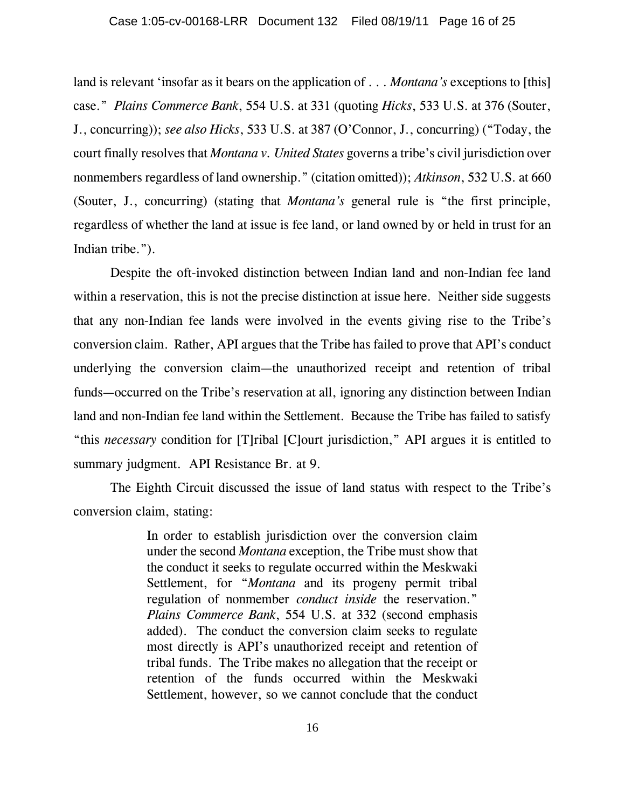land is relevant 'insofar as it bears on the application of . . . *Montana's* exceptions to [this] case." *Plains Commerce Bank*, 554 U.S. at 331 (quoting *Hicks*, 533 U.S. at 376 (Souter, J., concurring)); *see also Hicks*, 533 U.S. at 387 (O'Connor, J., concurring) ("Today, the court finally resolves that *Montana v. United States* governs a tribe's civil jurisdiction over nonmembers regardless of land ownership." (citation omitted)); *Atkinson*, 532 U.S. at 660 (Souter, J., concurring) (stating that *Montana's* general rule is "the first principle, regardless of whether the land at issue is fee land, or land owned by or held in trust for an Indian tribe.").

Despite the oft-invoked distinction between Indian land and non-Indian fee land within a reservation, this is not the precise distinction at issue here. Neither side suggests that any non-Indian fee lands were involved in the events giving rise to the Tribe's conversion claim. Rather, API argues that the Tribe has failed to prove that API's conduct underlying the conversion claim—the unauthorized receipt and retention of tribal funds—occurred on the Tribe's reservation at all, ignoring any distinction between Indian land and non-Indian fee land within the Settlement. Because the Tribe has failed to satisfy "this *necessary* condition for [T]ribal [C]ourt jurisdiction," API argues it is entitled to summary judgment. API Resistance Br. at 9.

The Eighth Circuit discussed the issue of land status with respect to the Tribe's conversion claim, stating:

> In order to establish jurisdiction over the conversion claim under the second *Montana* exception, the Tribe must show that the conduct it seeks to regulate occurred within the Meskwaki Settlement, for "*Montana* and its progeny permit tribal regulation of nonmember *conduct inside* the reservation." *Plains Commerce Bank*, 554 U.S. at 332 (second emphasis added). The conduct the conversion claim seeks to regulate most directly is API's unauthorized receipt and retention of tribal funds. The Tribe makes no allegation that the receipt or retention of the funds occurred within the Meskwaki Settlement, however, so we cannot conclude that the conduct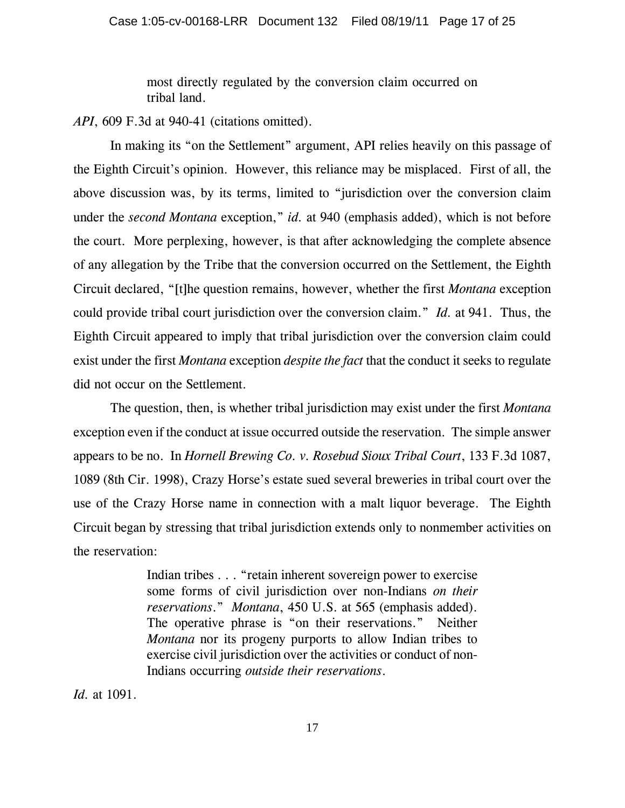most directly regulated by the conversion claim occurred on tribal land.

*API*, 609 F.3d at 940-41 (citations omitted).

In making its "on the Settlement" argument, API relies heavily on this passage of the Eighth Circuit's opinion. However, this reliance may be misplaced. First of all, the above discussion was, by its terms, limited to "jurisdiction over the conversion claim under the *second Montana* exception," *id.* at 940 (emphasis added), which is not before the court. More perplexing, however, is that after acknowledging the complete absence of any allegation by the Tribe that the conversion occurred on the Settlement, the Eighth Circuit declared, "[t]he question remains, however, whether the first *Montana* exception could provide tribal court jurisdiction over the conversion claim." *Id.* at 941. Thus, the Eighth Circuit appeared to imply that tribal jurisdiction over the conversion claim could exist under the first *Montana* exception *despite the fact* that the conduct it seeks to regulate did not occur on the Settlement.

The question, then, is whether tribal jurisdiction may exist under the first *Montana* exception even if the conduct at issue occurred outside the reservation. The simple answer appears to be no. In *Hornell Brewing Co. v. Rosebud Sioux Tribal Court*, 133 F.3d 1087, 1089 (8th Cir. 1998), Crazy Horse's estate sued several breweries in tribal court over the use of the Crazy Horse name in connection with a malt liquor beverage. The Eighth Circuit began by stressing that tribal jurisdiction extends only to nonmember activities on the reservation:

> Indian tribes . . . "retain inherent sovereign power to exercise some forms of civil jurisdiction over non-Indians *on their reservations*." *Montana*, 450 U.S. at 565 (emphasis added). The operative phrase is "on their reservations." Neither *Montana* nor its progeny purports to allow Indian tribes to exercise civil jurisdiction over the activities or conduct of non-Indians occurring *outside their reservations*.

*Id.* at 1091.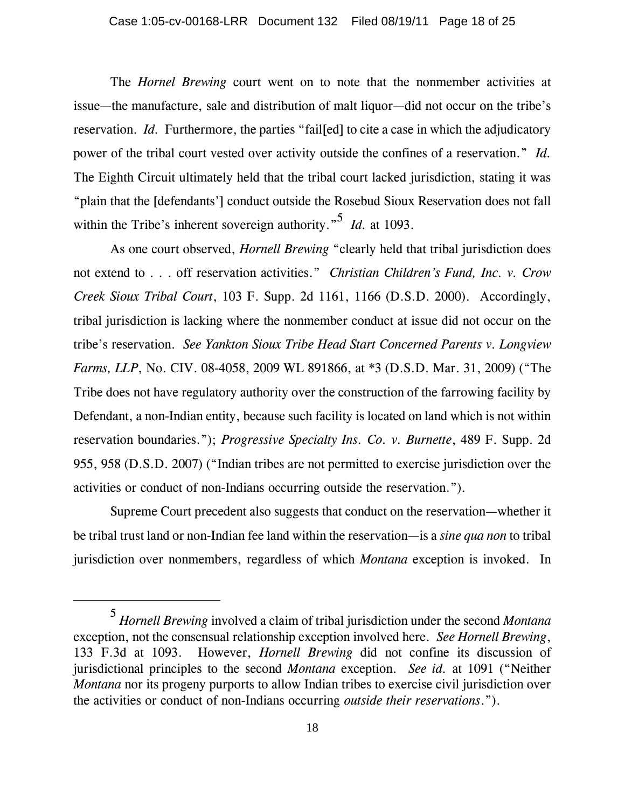The *Hornel Brewing* court went on to note that the nonmember activities at issue—the manufacture, sale and distribution of malt liquor—did not occur on the tribe's reservation. *Id.* Furthermore, the parties "failed to cite a case in which the adjudicatory power of the tribal court vested over activity outside the confines of a reservation." *Id.* The Eighth Circuit ultimately held that the tribal court lacked jurisdiction, stating it was "plain that the [defendants'] conduct outside the Rosebud Sioux Reservation does not fall within the Tribe's inherent sovereign authority."<sup>5</sup> *Id.* at 1093.

As one court observed, *Hornell Brewing* "clearly held that tribal jurisdiction does not extend to . . . off reservation activities." *Christian Children's Fund, Inc. v. Crow Creek Sioux Tribal Court*, 103 F. Supp. 2d 1161, 1166 (D.S.D. 2000). Accordingly, tribal jurisdiction is lacking where the nonmember conduct at issue did not occur on the tribe's reservation. *See Yankton Sioux Tribe Head Start Concerned Parents v. Longview Farms, LLP*, No. CIV. 08-4058, 2009 WL 891866, at \*3 (D.S.D. Mar. 31, 2009) ("The Tribe does not have regulatory authority over the construction of the farrowing facility by Defendant, a non-Indian entity, because such facility is located on land which is not within reservation boundaries."); *Progressive Specialty Ins. Co. v. Burnette*, 489 F. Supp. 2d 955, 958 (D.S.D. 2007) ("Indian tribes are not permitted to exercise jurisdiction over the activities or conduct of non-Indians occurring outside the reservation.").

Supreme Court precedent also suggests that conduct on the reservation—whether it be tribal trust land or non-Indian fee land within the reservation—is a *sine qua non* to tribal jurisdiction over nonmembers, regardless of which *Montana* exception is invoked. In

<sup>5</sup> *Hornell Brewing* involved a claim of tribal jurisdiction under the second *Montana* exception, not the consensual relationship exception involved here. *See Hornell Brewing*, 133 F.3d at 1093. However, *Hornell Brewing* did not confine its discussion of jurisdictional principles to the second *Montana* exception. *See id.* at 1091 ("Neither *Montana* nor its progeny purports to allow Indian tribes to exercise civil jurisdiction over the activities or conduct of non-Indians occurring *outside their reservations*.").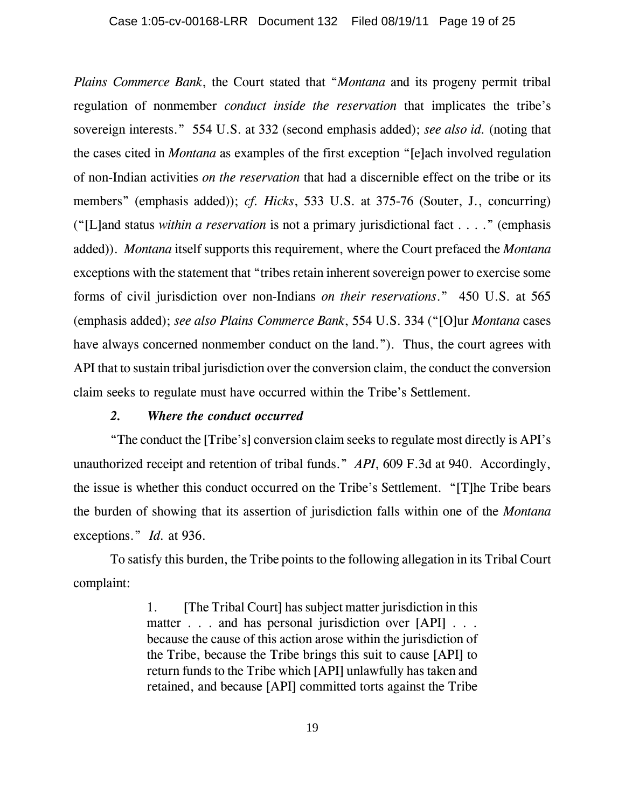*Plains Commerce Bank*, the Court stated that "*Montana* and its progeny permit tribal regulation of nonmember *conduct inside the reservation* that implicates the tribe's sovereign interests." 554 U.S. at 332 (second emphasis added); *see also id.* (noting that the cases cited in *Montana* as examples of the first exception "[e]ach involved regulation of non-Indian activities *on the reservation* that had a discernible effect on the tribe or its members" (emphasis added)); *cf. Hicks*, 533 U.S. at 375-76 (Souter, J., concurring) ("[L]and status *within a reservation* is not a primary jurisdictional fact . . . ." (emphasis added)). *Montana* itself supports this requirement, where the Court prefaced the *Montana* exceptions with the statement that "tribes retain inherent sovereign power to exercise some forms of civil jurisdiction over non-Indians *on their reservations*." 450 U.S. at 565 (emphasis added); *see also Plains Commerce Bank*, 554 U.S. 334 ("[O]ur *Montana* cases have always concerned nonmember conduct on the land."). Thus, the court agrees with API that to sustain tribal jurisdiction over the conversion claim, the conduct the conversion claim seeks to regulate must have occurred within the Tribe's Settlement.

## *2. Where the conduct occurred*

"The conduct the [Tribe's] conversion claim seeks to regulate most directly is API's unauthorized receipt and retention of tribal funds." *API*, 609 F.3d at 940. Accordingly, the issue is whether this conduct occurred on the Tribe's Settlement. "[T]he Tribe bears the burden of showing that its assertion of jurisdiction falls within one of the *Montana* exceptions." *Id.* at 936.

To satisfy this burden, the Tribe points to the following allegation in its Tribal Court complaint:

> 1. [The Tribal Court] has subject matter jurisdiction in this matter . . . and has personal jurisdiction over [API] . . . because the cause of this action arose within the jurisdiction of the Tribe, because the Tribe brings this suit to cause [API] to return funds to the Tribe which [API] unlawfully has taken and retained, and because [API] committed torts against the Tribe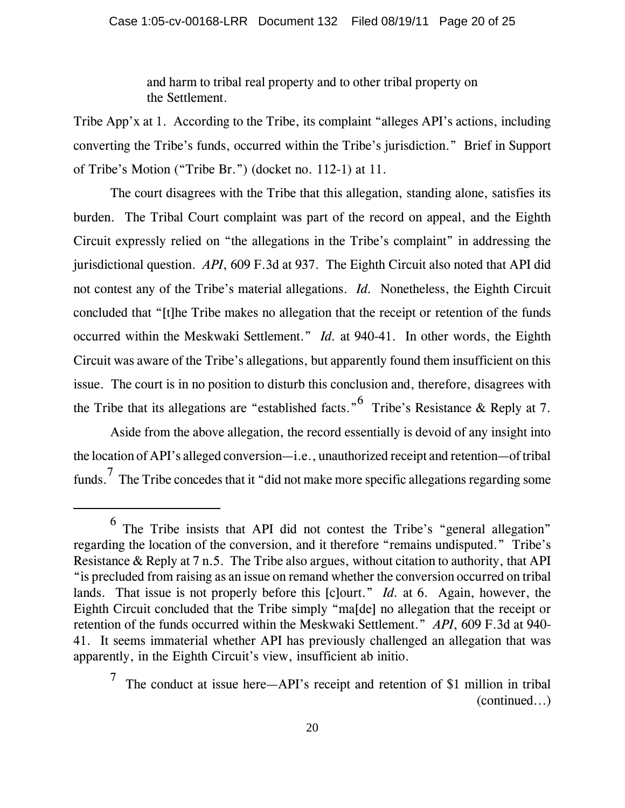and harm to tribal real property and to other tribal property on the Settlement.

Tribe App'x at 1. According to the Tribe, its complaint "alleges API's actions, including converting the Tribe's funds, occurred within the Tribe's jurisdiction." Brief in Support of Tribe's Motion ("Tribe Br.") (docket no. 112-1) at 11.

The court disagrees with the Tribe that this allegation, standing alone, satisfies its burden. The Tribal Court complaint was part of the record on appeal, and the Eighth Circuit expressly relied on "the allegations in the Tribe's complaint" in addressing the jurisdictional question. *API*, 609 F.3d at 937. The Eighth Circuit also noted that API did not contest any of the Tribe's material allegations. *Id.* Nonetheless, the Eighth Circuit concluded that "[t]he Tribe makes no allegation that the receipt or retention of the funds occurred within the Meskwaki Settlement." *Id.* at 940-41. In other words, the Eighth Circuit was aware of the Tribe's allegations, but apparently found them insufficient on this issue. The court is in no position to disturb this conclusion and, therefore, disagrees with the Tribe that its allegations are "established facts."<sup>6</sup> Tribe's Resistance & Reply at 7.

Aside from the above allegation, the record essentially is devoid of any insight into the location of API's alleged conversion—i.e., unauthorized receipt and retention—of tribal funds.<sup>7</sup> The Tribe concedes that it "did not make more specific allegations regarding some

 $^6$  The Tribe insists that API did not contest the Tribe's "general allegation" regarding the location of the conversion, and it therefore "remains undisputed." Tribe's Resistance & Reply at 7 n.5. The Tribe also argues, without citation to authority, that API "is precluded from raising as an issue on remand whether the conversion occurred on tribal lands. That issue is not properly before this [c]ourt." *Id.* at 6. Again, however, the Eighth Circuit concluded that the Tribe simply "ma[de] no allegation that the receipt or retention of the funds occurred within the Meskwaki Settlement." *API*, 609 F.3d at 940- 41. It seems immaterial whether API has previously challenged an allegation that was apparently, in the Eighth Circuit's view, insufficient ab initio.

<sup>&</sup>lt;sup>7</sup> The conduct at issue here—API's receipt and retention of \$1 million in tribal (continued...)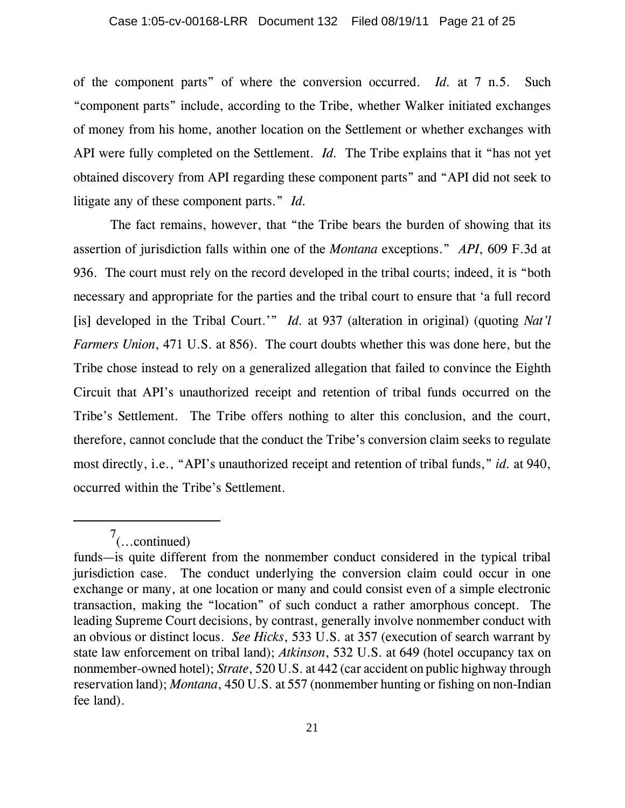of the component parts" of where the conversion occurred. *Id.* at 7 n.5. Such "component parts" include, according to the Tribe, whether Walker initiated exchanges of money from his home, another location on the Settlement or whether exchanges with API were fully completed on the Settlement. *Id.* The Tribe explains that it "has not yet obtained discovery from API regarding these component parts" and "API did not seek to litigate any of these component parts." *Id.* 

The fact remains, however, that "the Tribe bears the burden of showing that its assertion of jurisdiction falls within one of the *Montana* exceptions." *API*, 609 F.3d at 936. The court must rely on the record developed in the tribal courts; indeed, it is "both necessary and appropriate for the parties and the tribal court to ensure that 'a full record [is] developed in the Tribal Court.'" *Id.* at 937 (alteration in original) (quoting *Nat'l Farmers Union*, 471 U.S. at 856). The court doubts whether this was done here, but the Tribe chose instead to rely on a generalized allegation that failed to convince the Eighth Circuit that API's unauthorized receipt and retention of tribal funds occurred on the Tribe's Settlement. The Tribe offers nothing to alter this conclusion, and the court, therefore, cannot conclude that the conduct the Tribe's conversion claim seeks to regulate most directly, i.e., "API's unauthorized receipt and retention of tribal funds," *id.* at 940, occurred within the Tribe's Settlement.

 $7$ (...continued)

funds—is quite different from the nonmember conduct considered in the typical tribal jurisdiction case. The conduct underlying the conversion claim could occur in one exchange or many, at one location or many and could consist even of a simple electronic transaction, making the "location" of such conduct a rather amorphous concept. The leading Supreme Court decisions, by contrast, generally involve nonmember conduct with an obvious or distinct locus. *See Hicks*, 533 U.S. at 357 (execution of search warrant by state law enforcement on tribal land); *Atkinson*, 532 U.S. at 649 (hotel occupancy tax on nonmember-owned hotel); *Strate*, 520 U.S. at 442 (car accident on public highway through reservation land); *Montana*, 450 U.S. at 557 (nonmember hunting or fishing on non-Indian fee land).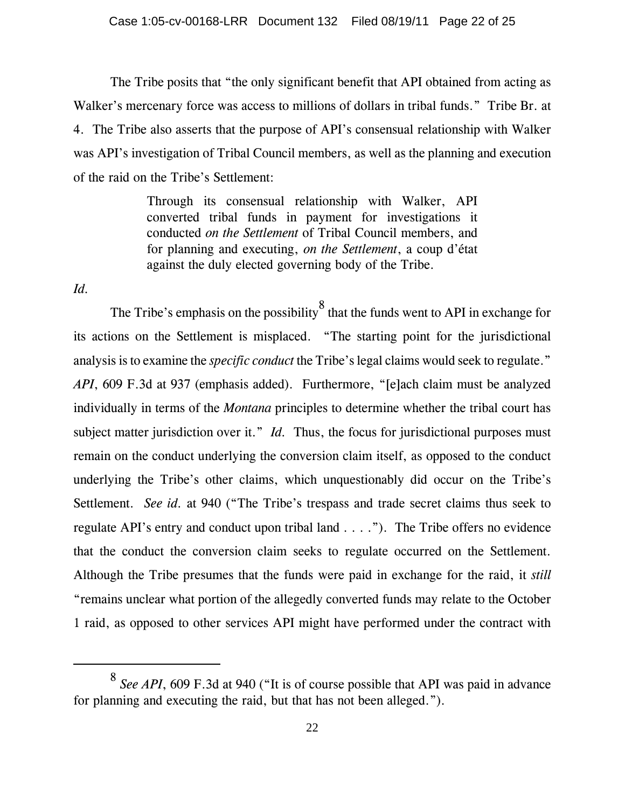The Tribe posits that "the only significant benefit that API obtained from acting as Walker's mercenary force was access to millions of dollars in tribal funds." Tribe Br. at 4. The Tribe also asserts that the purpose of API's consensual relationship with Walker was API's investigation of Tribal Council members, as well as the planning and execution of the raid on the Tribe's Settlement:

> Through its consensual relationship with Walker, API converted tribal funds in payment for investigations it conducted *on the Settlement* of Tribal Council members, and for planning and executing, *on the Settlement*, a coup d'état against the duly elected governing body of the Tribe.

*Id.* 

The Tribe's emphasis on the possibility  $\frac{8}{3}$  that the funds went to API in exchange for its actions on the Settlement is misplaced. "The starting point for the jurisdictional analysis is to examine the *specific conduct* the Tribe's legal claims would seek to regulate." *API*, 609 F.3d at 937 (emphasis added). Furthermore, "[e]ach claim must be analyzed individually in terms of the *Montana* principles to determine whether the tribal court has subject matter jurisdiction over it." *Id.* Thus, the focus for jurisdictional purposes must remain on the conduct underlying the conversion claim itself, as opposed to the conduct underlying the Tribe's other claims, which unquestionably did occur on the Tribe's Settlement. *See id.* at 940 ("The Tribe's trespass and trade secret claims thus seek to regulate API's entry and conduct upon tribal land . . . ."). The Tribe offers no evidence that the conduct the conversion claim seeks to regulate occurred on the Settlement. Although the Tribe presumes that the funds were paid in exchange for the raid, it *still* "remains unclear what portion of the allegedly converted funds may relate to the October 1 raid, as opposed to other services API might have performed under the contract with

<sup>8</sup> *See API*, 609 F.3d at 940 ("It is of course possible that API was paid in advance for planning and executing the raid, but that has not been alleged.").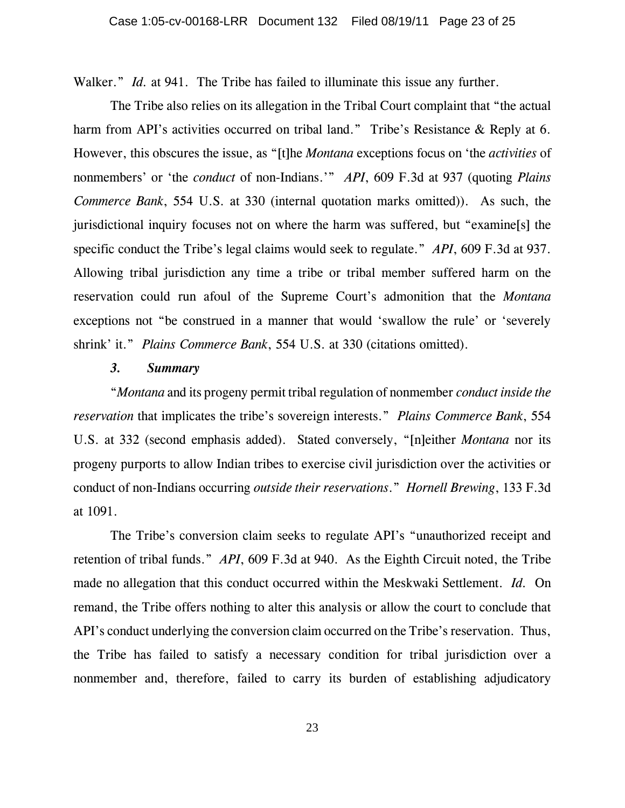Walker." *Id.* at 941. The Tribe has failed to illuminate this issue any further.

The Tribe also relies on its allegation in the Tribal Court complaint that "the actual harm from API's activities occurred on tribal land." Tribe's Resistance & Reply at 6. However, this obscures the issue, as "[t]he *Montana* exceptions focus on 'the *activities* of nonmembers' or 'the *conduct* of non-Indians.'" *API*, 609 F.3d at 937 (quoting *Plains Commerce Bank*, 554 U.S. at 330 (internal quotation marks omitted)). As such, the jurisdictional inquiry focuses not on where the harm was suffered, but "examine[s] the specific conduct the Tribe's legal claims would seek to regulate." *API*, 609 F.3d at 937. Allowing tribal jurisdiction any time a tribe or tribal member suffered harm on the reservation could run afoul of the Supreme Court's admonition that the *Montana* exceptions not "be construed in a manner that would 'swallow the rule' or 'severely shrink' it." *Plains Commerce Bank*, 554 U.S. at 330 (citations omitted).

#### *3. Summary*

"*Montana* and its progeny permit tribal regulation of nonmember *conduct inside the reservation* that implicates the tribe's sovereign interests." *Plains Commerce Bank*, 554 U.S. at 332 (second emphasis added). Stated conversely, "[n]either *Montana* nor its progeny purports to allow Indian tribes to exercise civil jurisdiction over the activities or conduct of non-Indians occurring *outside their reservations*." *Hornell Brewing*, 133 F.3d at 1091.

The Tribe's conversion claim seeks to regulate API's "unauthorized receipt and retention of tribal funds." *API*, 609 F.3d at 940. As the Eighth Circuit noted, the Tribe made no allegation that this conduct occurred within the Meskwaki Settlement. *Id.* On remand, the Tribe offers nothing to alter this analysis or allow the court to conclude that API's conduct underlying the conversion claim occurred on the Tribe's reservation. Thus, the Tribe has failed to satisfy a necessary condition for tribal jurisdiction over a nonmember and, therefore, failed to carry its burden of establishing adjudicatory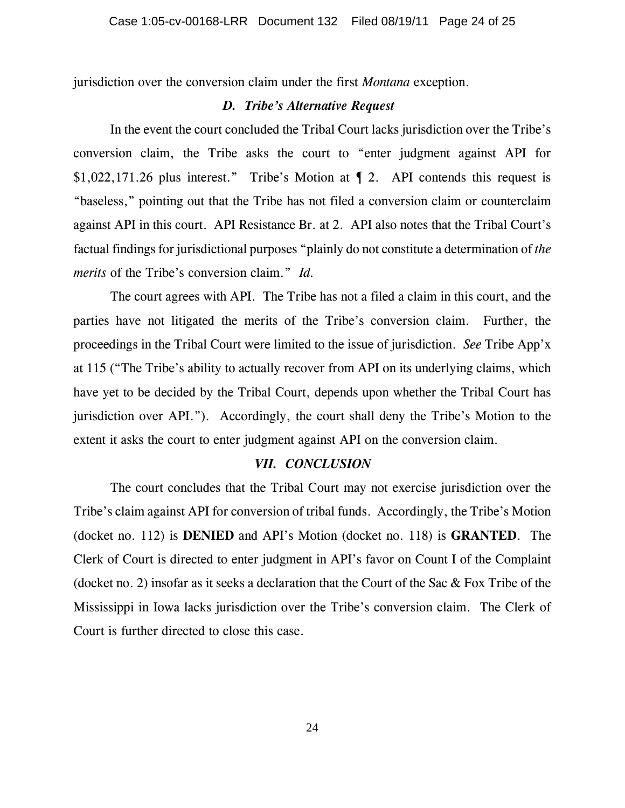jurisdiction over the conversion claim under the first *Montana* exception.

#### *D. Tribe's Alternative Request*

In the event the court concluded the Tribal Court lacks jurisdiction over the Tribe's conversion claim, the Tribe asks the court to "enter judgment against API for \$1,022,171.26 plus interest." Tribe's Motion at ¶ 2. API contends this request is "baseless," pointing out that the Tribe has not filed a conversion claim or counterclaim against API in this court. API Resistance Br. at 2. API also notes that the Tribal Court's factual findings for jurisdictional purposes "plainly do not constitute a determination of *the merits* of the Tribe's conversion claim." *Id.*

The court agrees with API. The Tribe has not a filed a claim in this court, and the parties have not litigated the merits of the Tribe's conversion claim. Further, the proceedings in the Tribal Court were limited to the issue of jurisdiction. *See* Tribe App'x at 115 ("The Tribe's ability to actually recover from API on its underlying claims, which have yet to be decided by the Tribal Court, depends upon whether the Tribal Court has jurisdiction over API."). Accordingly, the court shall deny the Tribe's Motion to the extent it asks the court to enter judgment against API on the conversion claim.

## *VII. CONCLUSION*

The court concludes that the Tribal Court may not exercise jurisdiction over the Tribe's claim against API for conversion of tribal funds. Accordingly, the Tribe's Motion (docket no. 112) is **DENIED** and API's Motion (docket no. 118) is **GRANTED**. The Clerk of Court is directed to enter judgment in API's favor on Count I of the Complaint (docket no. 2) insofar as it seeks a declaration that the Court of the Sac & Fox Tribe of the Mississippi in Iowa lacks jurisdiction over the Tribe's conversion claim. The Clerk of Court is further directed to close this case.